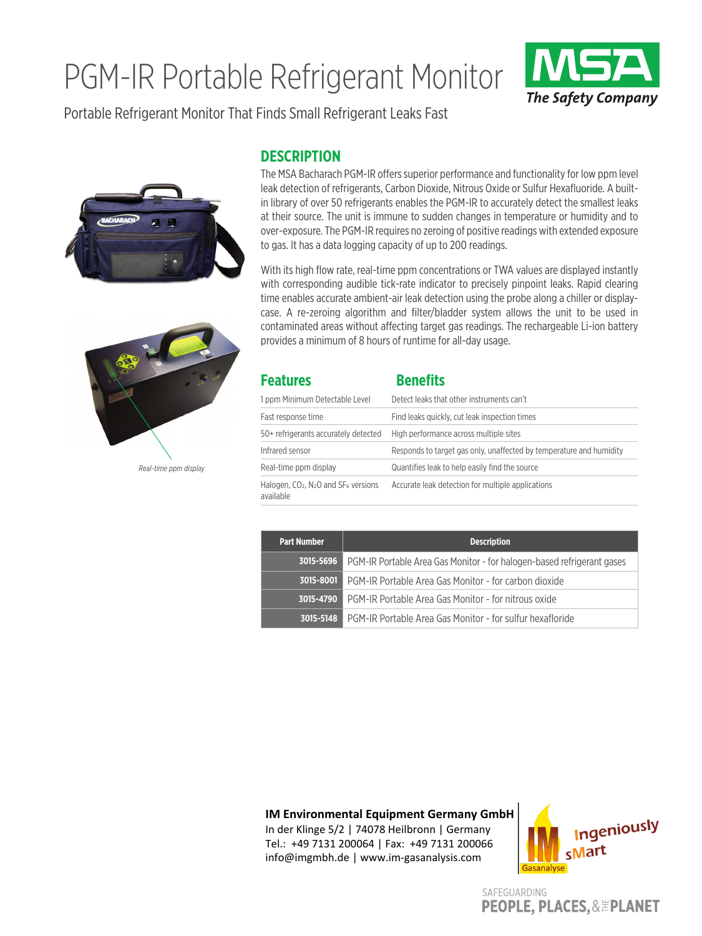## PGM-IR Portable Refrigerant Monitor



Portable Refrigerant Monitor That Finds Small Refrigerant Leaks Fast





*Real-time ppm display*

## **DESCRIPTION**

The MSA Bacharach PGM-IR offers superior performance and functionality for low ppm level leak detection of refrigerants, Carbon Dioxide, Nitrous Oxide or Sulfur Hexafluoride. A builtin library of over 50 refrigerants enables the PGM-IR to accurately detect the smallest leaks at their source. The unit is immune to sudden changes in temperature or humidity and to over-exposure. The PGM-IR requires no zeroing of positive readings with extended exposure to gas. It has a data logging capacity of up to 200 readings.

With its high flow rate, real-time ppm concentrations or TWA values are displayed instantly with corresponding audible tick-rate indicator to precisely pinpoint leaks. Rapid clearing time enables accurate ambient-air leak detection using the probe along a chiller or displaycase. A re-zeroing algorithm and filter/bladder system allows the unit to be used in contaminated areas without affecting target gas readings. The rechargeable Li-ion battery provides a minimum of 8 hours of runtime for all-day usage.

| <b>Features</b>                                                             | <b>Benefits</b>                                                     |
|-----------------------------------------------------------------------------|---------------------------------------------------------------------|
| 1 ppm Minimum Detectable Level                                              | Detect leaks that other instruments can't                           |
| Fast response time                                                          | Find leaks quickly, cut leak inspection times                       |
| 50+ refrigerants accurately detected                                        | High performance across multiple sites                              |
| Infrared sensor                                                             | Responds to target gas only, unaffected by temperature and humidity |
| Real-time ppm display                                                       | Quantifies leak to help easily find the source                      |
| Halogen, $CO2$ , N <sub>2</sub> O and SF <sub>6</sub> versions<br>available | Accurate leak detection for multiple applications                   |

| <b>Part Number</b> | <b>Description</b>                                                                      |
|--------------------|-----------------------------------------------------------------------------------------|
|                    | <b>3015-5696</b> PGM-IR Portable Area Gas Monitor - for halogen-based refrigerant gases |
|                    | <b>3015-8001</b> PGM-IR Portable Area Gas Monitor - for carbon dioxide                  |
|                    | <b>3015-4790</b> PGM-IR Portable Area Gas Monitor - for nitrous oxide                   |
|                    | <b>3015-5148</b> PGM-IR Portable Area Gas Monitor - for sulfur hexafloride              |

**IM Environmental Equipment Germany GmbH**

In der Klinge 5/2 | 74078 Heilbronn | Germany Tel.: +49 7131 200064 | Fax: +49 7131 200066 info@imgmbh.de | www.im-gasanalysis.com



SAFEGUARDING **PEOPLE, PLACES, & EPLANET**